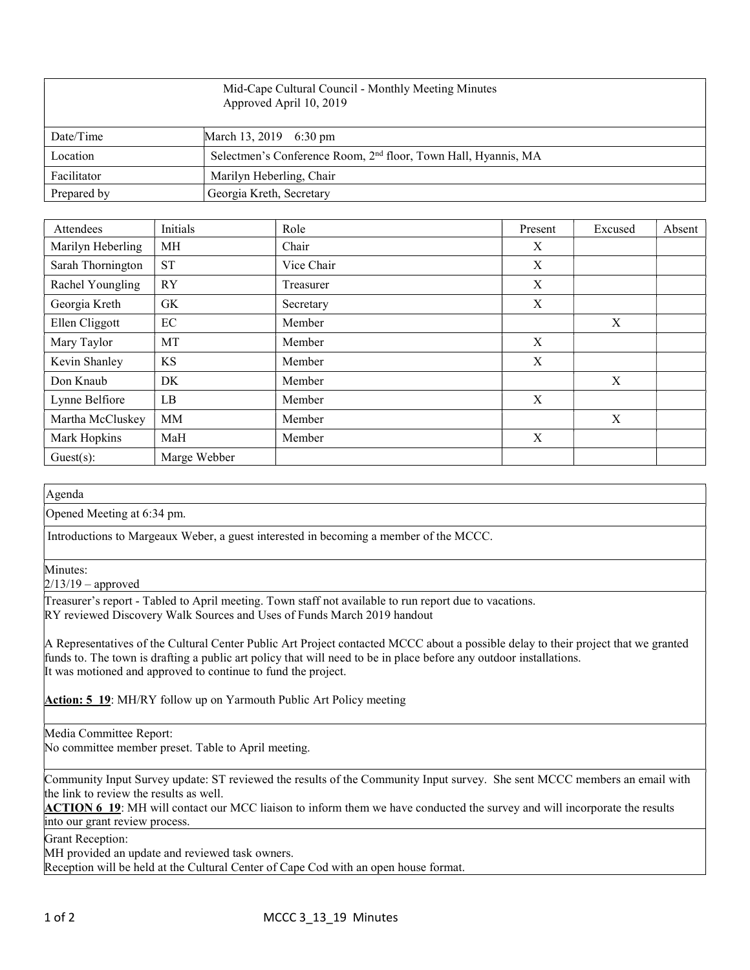| Mid-Cape Cultural Council - Monthly Meeting Minutes<br>Approved April 10, 2019 |                                                                            |  |  |
|--------------------------------------------------------------------------------|----------------------------------------------------------------------------|--|--|
| Date/Time                                                                      | March 13, 2019 6:30 pm                                                     |  |  |
| Location                                                                       | Selectmen's Conference Room, 2 <sup>nd</sup> floor, Town Hall, Hyannis, MA |  |  |
| Facilitator                                                                    | Marilyn Heberling, Chair                                                   |  |  |
| Prepared by                                                                    | Georgia Kreth, Secretary                                                   |  |  |

| Attendees         | Initials     | Role       | Present                   | Excused          | Absent |
|-------------------|--------------|------------|---------------------------|------------------|--------|
| Marilyn Heberling | МH           | Chair      | X                         |                  |        |
| Sarah Thornington | <b>ST</b>    | Vice Chair | $\boldsymbol{\mathrm{X}}$ |                  |        |
| Rachel Youngling  | <b>RY</b>    | Treasurer  | X                         |                  |        |
| Georgia Kreth     | GK           | Secretary  | X                         |                  |        |
| Ellen Cliggott    | EC           | Member     |                           | $\boldsymbol{X}$ |        |
| Mary Taylor       | MT           | Member     | X                         |                  |        |
| Kevin Shanley     | KS           | Member     | X                         |                  |        |
| Don Knaub         | DK           | Member     |                           | X                |        |
| Lynne Belfiore    | LB           | Member     | X                         |                  |        |
| Martha McCluskey  | MM           | Member     |                           | X                |        |
| Mark Hopkins      | MaH          | Member     | X                         |                  |        |
| Guest(s):         | Marge Webber |            |                           |                  |        |

Agenda

Opened Meeting at 6:34 pm.

Introductions to Margeaux Weber, a guest interested in becoming a member of the MCCC.

Minutes:

 $2/13/19$  – approved

Treasurer's report - Tabled to April meeting. Town staff not available to run report due to vacations. RY reviewed Discovery Walk Sources and Uses of Funds March 2019 handout

A Representatives of the Cultural Center Public Art Project contacted MCCC about a possible delay to their project that we granted funds to. The town is drafting a public art policy that will need to be in place before any outdoor installations. It was motioned and approved to continue to fund the project.

Action: 5\_19: MH/RY follow up on Yarmouth Public Art Policy meeting

Media Committee Report:

No committee member preset. Table to April meeting.

Community Input Survey update: ST reviewed the results of the Community Input survey. She sent MCCC members an email with the link to review the results as well.

ACTION 6 19: MH will contact our MCC liaison to inform them we have conducted the survey and will incorporate the results into our grant review process.

Grant Reception:

MH provided an update and reviewed task owners.

Reception will be held at the Cultural Center of Cape Cod with an open house format.